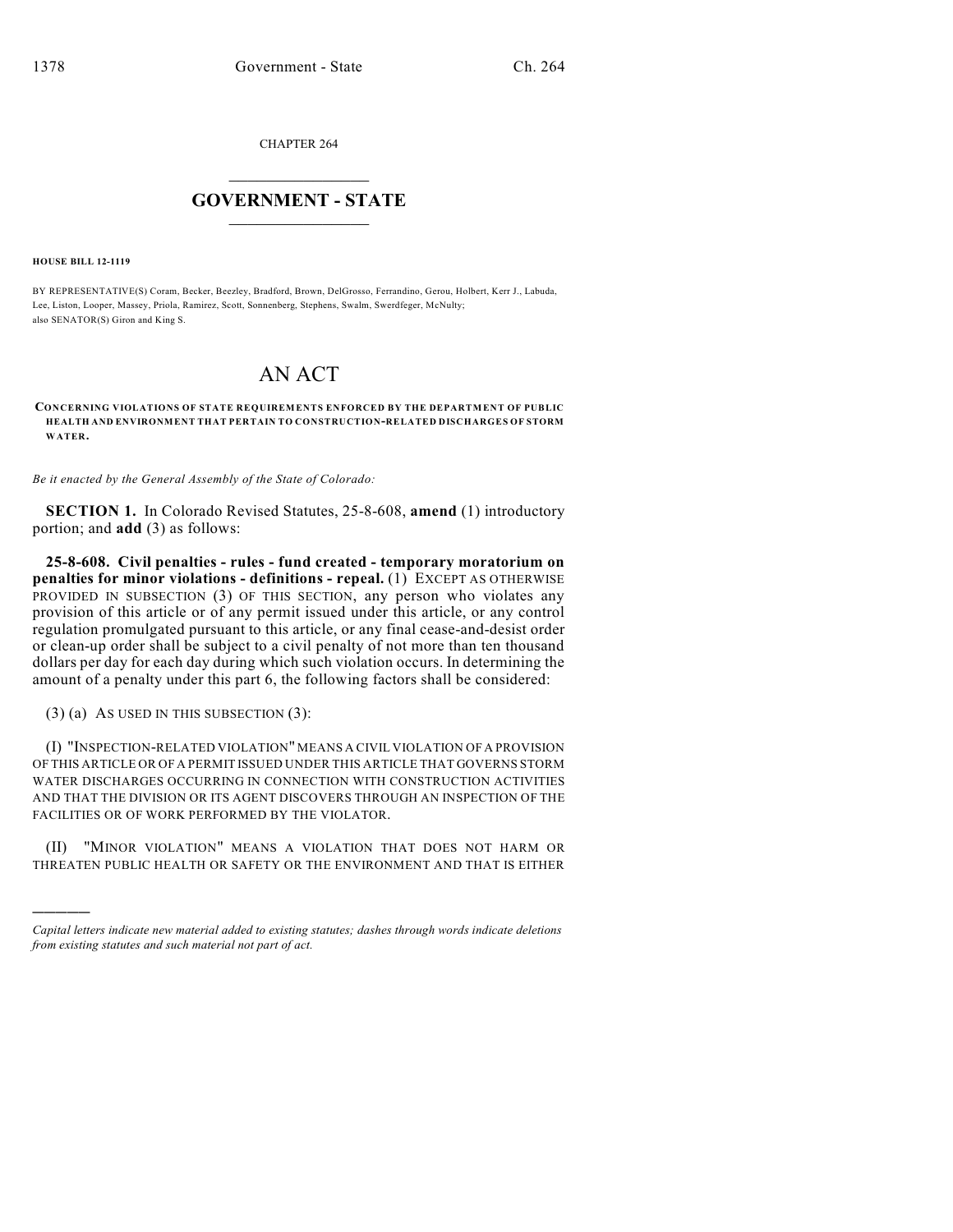CHAPTER 264

## $\overline{\phantom{a}}$  . The set of the set of the set of the set of the set of the set of the set of the set of the set of the set of the set of the set of the set of the set of the set of the set of the set of the set of the set o **GOVERNMENT - STATE**  $\_$

**HOUSE BILL 12-1119**

)))))

BY REPRESENTATIVE(S) Coram, Becker, Beezley, Bradford, Brown, DelGrosso, Ferrandino, Gerou, Holbert, Kerr J., Labuda, Lee, Liston, Looper, Massey, Priola, Ramirez, Scott, Sonnenberg, Stephens, Swalm, Swerdfeger, McNulty; also SENATOR(S) Giron and King S.

## AN ACT

**CONCERNING VIOLATIONS OF STATE REQUIREMENTS ENFORCED BY THE DEPARTMENT OF PUBLIC HEALTH AND ENVIRONMENT THAT PERTAIN TO CONSTRUCTION-RELATED DISCHARGES OF STORM WATER.**

*Be it enacted by the General Assembly of the State of Colorado:*

**SECTION 1.** In Colorado Revised Statutes, 25-8-608, **amend** (1) introductory portion; and **add** (3) as follows:

**25-8-608. Civil penalties - rules - fund created - temporary moratorium on penalties for minor violations - definitions - repeal.** (1) EXCEPT AS OTHERWISE PROVIDED IN SUBSECTION (3) OF THIS SECTION, any person who violates any provision of this article or of any permit issued under this article, or any control regulation promulgated pursuant to this article, or any final cease-and-desist order or clean-up order shall be subject to a civil penalty of not more than ten thousand dollars per day for each day during which such violation occurs. In determining the amount of a penalty under this part 6, the following factors shall be considered:

(3) (a) AS USED IN THIS SUBSECTION (3):

(I) "INSPECTION-RELATED VIOLATION" MEANS A CIVIL VIOLATION OF A PROVISION OF THIS ARTICLE OR OF A PERMIT ISSUED UNDER THIS ARTICLE THAT GOVERNS STORM WATER DISCHARGES OCCURRING IN CONNECTION WITH CONSTRUCTION ACTIVITIES AND THAT THE DIVISION OR ITS AGENT DISCOVERS THROUGH AN INSPECTION OF THE FACILITIES OR OF WORK PERFORMED BY THE VIOLATOR.

(II) "MINOR VIOLATION" MEANS A VIOLATION THAT DOES NOT HARM OR THREATEN PUBLIC HEALTH OR SAFETY OR THE ENVIRONMENT AND THAT IS EITHER

*Capital letters indicate new material added to existing statutes; dashes through words indicate deletions from existing statutes and such material not part of act.*